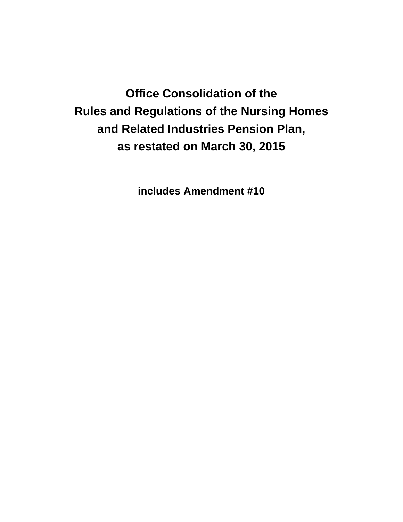**Office Consolidation of the Rules and Regulations of the Nursing Homes and Related Industries Pension Plan, as restated on March 30, 2015** 

**includes Amendment #10**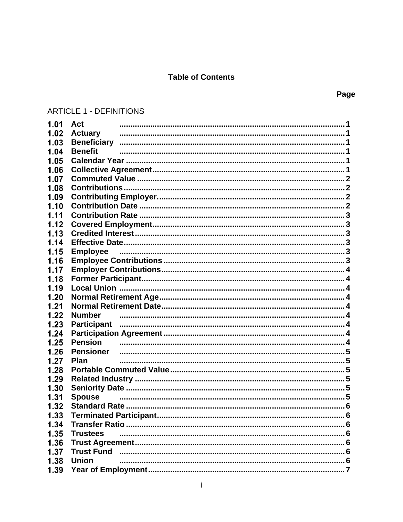# **Table of Contents**

# **ARTICLE 1 - DEFINITIONS**

| 1.01 | Act                |
|------|--------------------|
| 1.02 | <b>Actuary</b>     |
| 1.03 | <b>Beneficiary</b> |
| 1.04 | <b>Benefit</b>     |
| 1.05 |                    |
| 1.06 |                    |
| 1.07 |                    |
| 1.08 |                    |
| 1.09 |                    |
| 1.10 |                    |
| 1.11 |                    |
| 1.12 |                    |
| 1.13 |                    |
| 1.14 |                    |
| 1.15 | <b>Employee</b>    |
| 1.16 |                    |
| 1.17 |                    |
| 1.18 |                    |
| 1.19 |                    |
| 1.20 |                    |
| 1.21 |                    |
| 1.22 | <b>Number</b>      |
| 1.23 |                    |
| 1.24 |                    |
| 1.25 | <b>Pension</b>     |
| 1.26 | <b>Pensioner</b>   |
| 1.27 | <b>Plan</b>        |
| 1.28 |                    |
| 1.29 |                    |
| 1.30 |                    |
| 1.31 | <b>Spouse</b>      |
| 1.32 |                    |
| 1.33 |                    |
| 1.34 |                    |
| 1.35 | <b>Trustees</b>    |
| 1.36 |                    |
| 1.37 |                    |
| 1.38 | <b>Union</b>       |
| 1.39 |                    |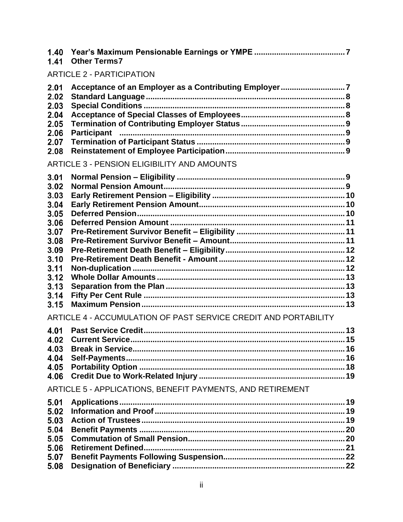| 1.40<br>1.41                                                                                                         | <b>Other Terms7</b>                                                         |  |
|----------------------------------------------------------------------------------------------------------------------|-----------------------------------------------------------------------------|--|
|                                                                                                                      | <b>ARTICLE 2 - PARTICIPATION</b>                                            |  |
| 2.01<br>2.02<br>2.03<br>2.04<br>2.05<br>2.06<br>2.07<br>2.08                                                         | Acceptance of an Employer as a Contributing Employer7<br><b>Participant</b> |  |
|                                                                                                                      | ARTICLE 3 - PENSION ELIGIBILITY AND AMOUNTS                                 |  |
| 3.01<br>3.02<br>3.03<br>3.04<br>3.05<br>3.06<br>3.07<br>3.08<br>3.09<br>3.10<br>3.11<br>3.12<br>3.13<br>3.14<br>3.15 |                                                                             |  |
|                                                                                                                      | ARTICLE 4 - ACCUMULATION OF PAST SERVICE CREDIT AND PORTABILITY             |  |
| 4.01<br>4.02<br>4.03<br>4.04<br>4.05<br>4.06                                                                         |                                                                             |  |
|                                                                                                                      | ARTICLE 5 - APPLICATIONS, BENEFIT PAYMENTS, AND RETIREMENT                  |  |
| 5.01<br>5.02<br>5.03<br>5.04<br>5.05<br>5.06<br>5.07                                                                 |                                                                             |  |
| 5.08                                                                                                                 |                                                                             |  |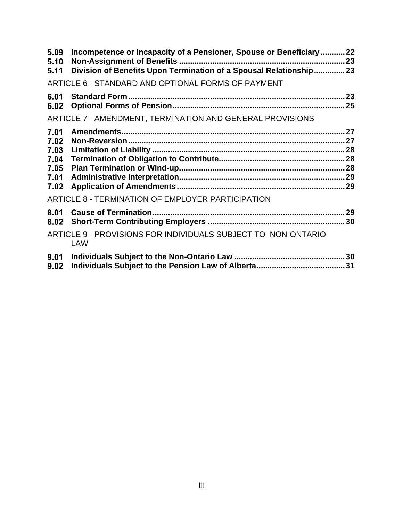| 5.09<br>5.10<br>5.11                                 | Incompetence or Incapacity of a Pensioner, Spouse or Beneficiary  22<br>Division of Benefits Upon Termination of a Spousal Relationship23 |  |
|------------------------------------------------------|-------------------------------------------------------------------------------------------------------------------------------------------|--|
|                                                      | ARTICLE 6 - STANDARD AND OPTIONAL FORMS OF PAYMENT                                                                                        |  |
| 6.01<br>6.02                                         |                                                                                                                                           |  |
|                                                      | ARTICLE 7 - AMENDMENT, TERMINATION AND GENERAL PROVISIONS                                                                                 |  |
| 7.01<br>7.02<br>7.03<br>7.04<br>7.05<br>7.01<br>7.02 |                                                                                                                                           |  |
|                                                      | ARTICLE 8 - TERMINATION OF EMPLOYER PARTICIPATION                                                                                         |  |
| 8.01<br>8.02                                         |                                                                                                                                           |  |
|                                                      | ARTICLE 9 - PROVISIONS FOR INDIVIDUALS SUBJECT TO NON-ONTARIO<br><b>LAW</b>                                                               |  |
| 9.01<br>9.02                                         |                                                                                                                                           |  |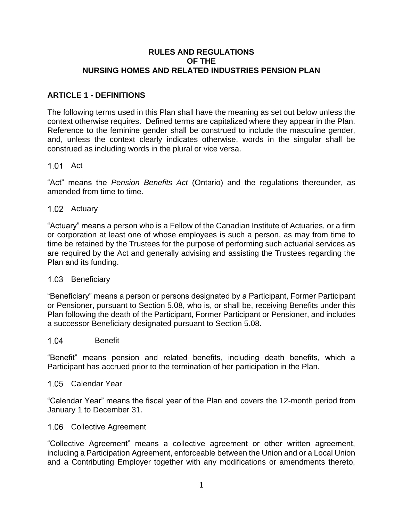### **RULES AND REGULATIONS OF THE NURSING HOMES AND RELATED INDUSTRIES PENSION PLAN**

# **ARTICLE 1 - DEFINITIONS**

The following terms used in this Plan shall have the meaning as set out below unless the context otherwise requires. Defined terms are capitalized where they appear in the Plan. Reference to the feminine gender shall be construed to include the masculine gender, and, unless the context clearly indicates otherwise, words in the singular shall be construed as including words in the plural or vice versa.

## $1.01$  Act

"Act" means the *Pension Benefits Act* (Ontario) and the regulations thereunder, as amended from time to time.

#### 1.02 Actuary

"Actuary" means a person who is a Fellow of the Canadian Institute of Actuaries, or a firm or corporation at least one of whose employees is such a person, as may from time to time be retained by the Trustees for the purpose of performing such actuarial services as are required by the Act and generally advising and assisting the Trustees regarding the Plan and its funding.

#### 1.03 Beneficiary

"Beneficiary" means a person or persons designated by a Participant, Former Participant or Pensioner, pursuant to Section 5.08, who is, or shall be, receiving Benefits under this Plan following the death of the Participant, Former Participant or Pensioner, and includes a successor Beneficiary designated pursuant to Section 5.08.

#### $1.04$ Benefit

"Benefit" means pension and related benefits, including death benefits, which a Participant has accrued prior to the termination of her participation in the Plan.

#### 1.05 Calendar Year

"Calendar Year" means the fiscal year of the Plan and covers the 12-month period from January 1 to December 31.

#### 1.06 Collective Agreement

"Collective Agreement" means a collective agreement or other written agreement, including a Participation Agreement, enforceable between the Union and or a Local Union and a Contributing Employer together with any modifications or amendments thereto,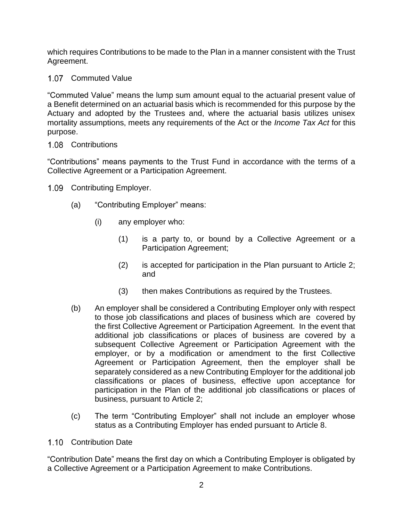which requires Contributions to be made to the Plan in a manner consistent with the Trust Agreement.

1.07 Commuted Value

"Commuted Value" means the lump sum amount equal to the actuarial present value of a Benefit determined on an actuarial basis which is recommended for this purpose by the Actuary and adopted by the Trustees and, where the actuarial basis utilizes unisex mortality assumptions, meets any requirements of the Act or the *Income Tax Act* for this purpose.

# 1.08 Contributions

"Contributions" means payments to the Trust Fund in accordance with the terms of a Collective Agreement or a Participation Agreement.

- 1.09 Contributing Employer.
	- (a) "Contributing Employer" means:
		- (i) any employer who:
			- (1) is a party to, or bound by a Collective Agreement or a Participation Agreement;
			- (2) is accepted for participation in the Plan pursuant to Article 2; and
			- (3) then makes Contributions as required by the Trustees.
	- (b) An employer shall be considered a Contributing Employer only with respect to those job classifications and places of business which are covered by the first Collective Agreement or Participation Agreement. In the event that additional job classifications or places of business are covered by a subsequent Collective Agreement or Participation Agreement with the employer, or by a modification or amendment to the first Collective Agreement or Participation Agreement, then the employer shall be separately considered as a new Contributing Employer for the additional job classifications or places of business, effective upon acceptance for participation in the Plan of the additional job classifications or places of business, pursuant to Article 2;
	- (c) The term "Contributing Employer" shall not include an employer whose status as a Contributing Employer has ended pursuant to Article 8.

# 1.10 Contribution Date

"Contribution Date" means the first day on which a Contributing Employer is obligated by a Collective Agreement or a Participation Agreement to make Contributions.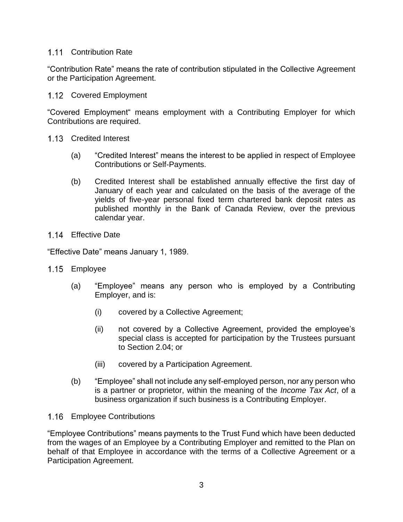## 1.11 Contribution Rate

"Contribution Rate" means the rate of contribution stipulated in the Collective Agreement or the Participation Agreement.

1.12 Covered Employment

"Covered Employment" means employment with a Contributing Employer for which Contributions are required.

- 1.13 Credited Interest
	- (a) "Credited Interest" means the interest to be applied in respect of Employee Contributions or Self-Payments.
	- (b) Credited Interest shall be established annually effective the first day of January of each year and calculated on the basis of the average of the yields of five-year personal fixed term chartered bank deposit rates as published monthly in the Bank of Canada Review, over the previous calendar year.
- 1.14 Effective Date

"Effective Date" means January 1, 1989.

- 1.15 Employee
	- (a) "Employee" means any person who is employed by a Contributing Employer, and is:
		- (i) covered by a Collective Agreement;
		- (ii) not covered by a Collective Agreement, provided the employee's special class is accepted for participation by the Trustees pursuant to Section 2.04; or
		- (iii) covered by a Participation Agreement.
	- (b) "Employee" shall not include any self-employed person, nor any person who is a partner or proprietor, within the meaning of the *Income Tax Act*, of a business organization if such business is a Contributing Employer.
- 1.16 Employee Contributions

"Employee Contributions" means payments to the Trust Fund which have been deducted from the wages of an Employee by a Contributing Employer and remitted to the Plan on behalf of that Employee in accordance with the terms of a Collective Agreement or a Participation Agreement.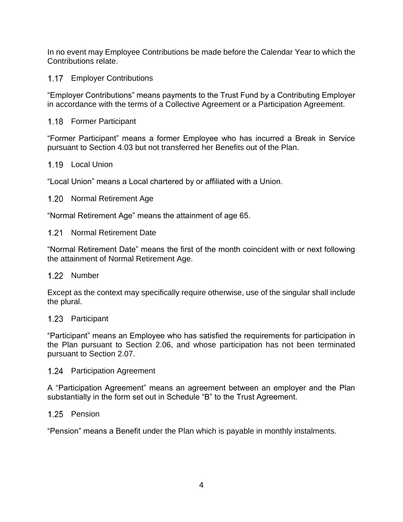In no event may Employee Contributions be made before the Calendar Year to which the Contributions relate.

1.17 Employer Contributions

"Employer Contributions" means payments to the Trust Fund by a Contributing Employer in accordance with the terms of a Collective Agreement or a Participation Agreement.

1.18 Former Participant

"Former Participant" means a former Employee who has incurred a Break in Service pursuant to Section 4.03 but not transferred her Benefits out of the Plan.

## 1.19 Local Union

"Local Union" means a Local chartered by or affiliated with a Union.

1.20 Normal Retirement Age

"Normal Retirement Age" means the attainment of age 65.

1.21 Normal Retirement Date

"Normal Retirement Date" means the first of the month coincident with or next following the attainment of Normal Retirement Age.

#### 1.22 Number

Except as the context may specifically require otherwise, use of the singular shall include the plural.

#### 1.23 Participant

"Participant" means an Employee who has satisfied the requirements for participation in the Plan pursuant to Section 2.06, and whose participation has not been terminated pursuant to Section 2.07.

1.24 Participation Agreement

A "Participation Agreement" means an agreement between an employer and the Plan substantially in the form set out in Schedule "B" to the Trust Agreement.

#### 1.25 Pension

"Pension" means a Benefit under the Plan which is payable in monthly instalments.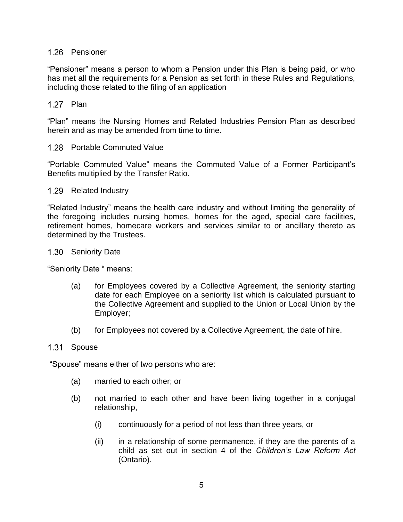### 1.26 Pensioner

"Pensioner" means a person to whom a Pension under this Plan is being paid, or who has met all the requirements for a Pension as set forth in these Rules and Regulations, including those related to the filing of an application

## 1.27 Plan

"Plan" means the Nursing Homes and Related Industries Pension Plan as described herein and as may be amended from time to time.

#### 1.28 Portable Commuted Value

"Portable Commuted Value" means the Commuted Value of a Former Participant's Benefits multiplied by the Transfer Ratio.

#### 1.29 Related Industry

"Related Industry" means the health care industry and without limiting the generality of the foregoing includes nursing homes, homes for the aged, special care facilities, retirement homes, homecare workers and services similar to or ancillary thereto as determined by the Trustees.

#### 1.30 Seniority Date

"Seniority Date " means:

- (a) for Employees covered by a Collective Agreement, the seniority starting date for each Employee on a seniority list which is calculated pursuant to the Collective Agreement and supplied to the Union or Local Union by the Employer;
- (b) for Employees not covered by a Collective Agreement, the date of hire.

#### $1.31$ Spouse

"Spouse" means either of two persons who are:

- (a) married to each other; or
- (b) not married to each other and have been living together in a conjugal relationship,
	- (i) continuously for a period of not less than three years, or
	- (ii) in a relationship of some permanence, if they are the parents of a child as set out in section 4 of the *Children's Law Reform Act*  (Ontario).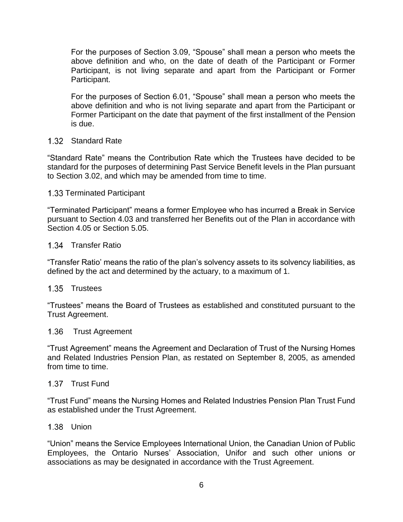For the purposes of Section 3.09, "Spouse" shall mean a person who meets the above definition and who, on the date of death of the Participant or Former Participant, is not living separate and apart from the Participant or Former Participant.

For the purposes of Section 6.01, "Spouse" shall mean a person who meets the above definition and who is not living separate and apart from the Participant or Former Participant on the date that payment of the first installment of the Pension is due.

#### 1.32 Standard Rate

"Standard Rate" means the Contribution Rate which the Trustees have decided to be standard for the purposes of determining Past Service Benefit levels in the Plan pursuant to Section 3.02, and which may be amended from time to time.

#### 1.33 Terminated Participant

"Terminated Participant" means a former Employee who has incurred a Break in Service pursuant to Section 4.03 and transferred her Benefits out of the Plan in accordance with Section 4.05 or Section 5.05.

#### 1.34 Transfer Ratio

"Transfer Ratio' means the ratio of the plan's solvency assets to its solvency liabilities, as defined by the act and determined by the actuary, to a maximum of 1.

#### 1.35 Trustees

"Trustees" means the Board of Trustees as established and constituted pursuant to the Trust Agreement.

#### 1.36 Trust Agreement

"Trust Agreement" means the Agreement and Declaration of Trust of the Nursing Homes and Related Industries Pension Plan, as restated on September 8, 2005, as amended from time to time.

## 1.37 Trust Fund

"Trust Fund" means the Nursing Homes and Related Industries Pension Plan Trust Fund as established under the Trust Agreement.

#### 1.38 Union

"Union" means the Service Employees International Union, the Canadian Union of Public Employees, the Ontario Nurses' Association, Unifor and such other unions or associations as may be designated in accordance with the Trust Agreement.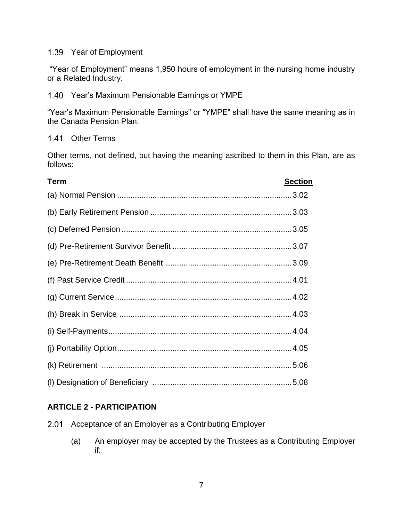#### 1.39 Year of Employment

"Year of Employment" means 1,950 hours of employment in the nursing home industry or a Related Industry.

### 1.40 Year's Maximum Pensionable Earnings or YMPE

"Year's Maximum Pensionable Earnings" or "YMPE" shall have the same meaning as in the Canada Pension Plan.

#### 1.41 Other Terms

Other terms, not defined, but having the meaning ascribed to them in this Plan, are as follows:

| <b>Term</b> | <b>Section</b> |
|-------------|----------------|
|             |                |
|             |                |
|             |                |
|             |                |
|             |                |
|             |                |
|             |                |
|             |                |
|             |                |
|             |                |
|             |                |
|             |                |

# **ARTICLE 2 - PARTICIPATION**

- 2.01 Acceptance of an Employer as a Contributing Employer
	- (a) An employer may be accepted by the Trustees as a Contributing Employer if: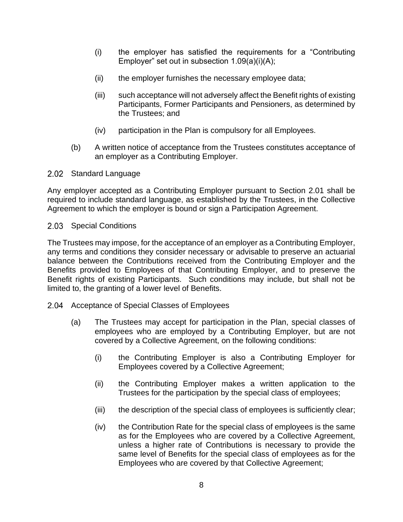- (i) the employer has satisfied the requirements for a "Contributing Employer" set out in subsection 1.09(a)(i)(A);
- (ii) the employer furnishes the necessary employee data;
- (iii) such acceptance will not adversely affect the Benefit rights of existing Participants, Former Participants and Pensioners, as determined by the Trustees; and
- (iv) participation in the Plan is compulsory for all Employees.
- (b) A written notice of acceptance from the Trustees constitutes acceptance of an employer as a Contributing Employer.

#### 2.02 Standard Language

Any employer accepted as a Contributing Employer pursuant to Section 2.01 shall be required to include standard language, as established by the Trustees, in the Collective Agreement to which the employer is bound or sign a Participation Agreement.

#### 2.03 Special Conditions

The Trustees may impose, for the acceptance of an employer as a Contributing Employer, any terms and conditions they consider necessary or advisable to preserve an actuarial balance between the Contributions received from the Contributing Employer and the Benefits provided to Employees of that Contributing Employer, and to preserve the Benefit rights of existing Participants. Such conditions may include, but shall not be limited to, the granting of a lower level of Benefits.

#### 2.04 Acceptance of Special Classes of Employees

- (a) The Trustees may accept for participation in the Plan, special classes of employees who are employed by a Contributing Employer, but are not covered by a Collective Agreement, on the following conditions:
	- (i) the Contributing Employer is also a Contributing Employer for Employees covered by a Collective Agreement;
	- (ii) the Contributing Employer makes a written application to the Trustees for the participation by the special class of employees;
	- (iii) the description of the special class of employees is sufficiently clear;
	- (iv) the Contribution Rate for the special class of employees is the same as for the Employees who are covered by a Collective Agreement, unless a higher rate of Contributions is necessary to provide the same level of Benefits for the special class of employees as for the Employees who are covered by that Collective Agreement;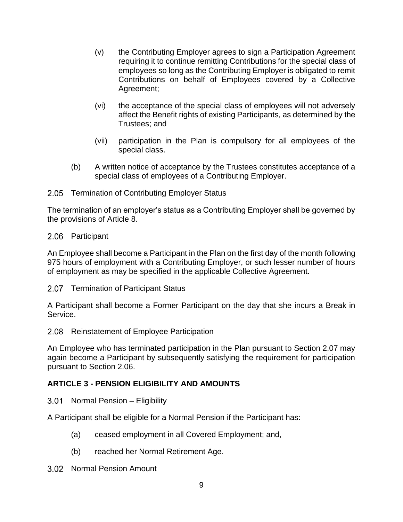- (v) the Contributing Employer agrees to sign a Participation Agreement requiring it to continue remitting Contributions for the special class of employees so long as the Contributing Employer is obligated to remit Contributions on behalf of Employees covered by a Collective Agreement;
- (vi) the acceptance of the special class of employees will not adversely affect the Benefit rights of existing Participants, as determined by the Trustees; and
- (vii) participation in the Plan is compulsory for all employees of the special class.
- (b) A written notice of acceptance by the Trustees constitutes acceptance of a special class of employees of a Contributing Employer.

## 2.05 Termination of Contributing Employer Status

The termination of an employer's status as a Contributing Employer shall be governed by the provisions of Article 8.

#### 2.06 Participant

An Employee shall become a Participant in the Plan on the first day of the month following 975 hours of employment with a Contributing Employer, or such lesser number of hours of employment as may be specified in the applicable Collective Agreement.

2.07 Termination of Participant Status

A Participant shall become a Former Participant on the day that she incurs a Break in Service.

2.08 Reinstatement of Employee Participation

An Employee who has terminated participation in the Plan pursuant to Section 2.07 may again become a Participant by subsequently satisfying the requirement for participation pursuant to Section 2.06.

# **ARTICLE 3 - PENSION ELIGIBILITY AND AMOUNTS**

3.01 Normal Pension – Eligibility

A Participant shall be eligible for a Normal Pension if the Participant has:

- (a) ceased employment in all Covered Employment; and,
- (b) reached her Normal Retirement Age.
- 3.02 Normal Pension Amount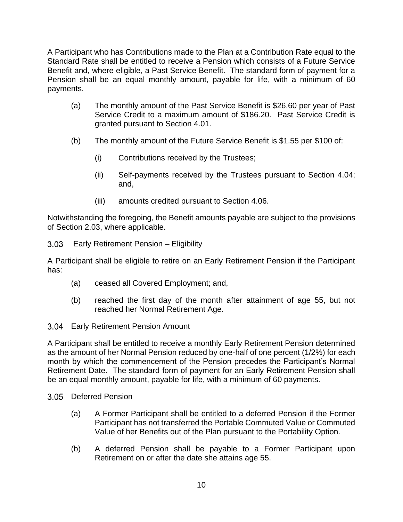A Participant who has Contributions made to the Plan at a Contribution Rate equal to the Standard Rate shall be entitled to receive a Pension which consists of a Future Service Benefit and, where eligible, a Past Service Benefit. The standard form of payment for a Pension shall be an equal monthly amount, payable for life, with a minimum of 60 payments.

- (a) The monthly amount of the Past Service Benefit is \$26.60 per year of Past Service Credit to a maximum amount of \$186.20. Past Service Credit is granted pursuant to Section 4.01.
- (b) The monthly amount of the Future Service Benefit is \$1.55 per \$100 of:
	- (i) Contributions received by the Trustees;
	- (ii) Self-payments received by the Trustees pursuant to Section 4.04; and,
	- (iii) amounts credited pursuant to Section 4.06.

Notwithstanding the foregoing, the Benefit amounts payable are subject to the provisions of Section 2.03, where applicable.

 $3.03$ Early Retirement Pension – Eligibility

A Participant shall be eligible to retire on an Early Retirement Pension if the Participant has:

- (a) ceased all Covered Employment; and,
- (b) reached the first day of the month after attainment of age 55, but not reached her Normal Retirement Age.
- $3.04$ Early Retirement Pension Amount

A Participant shall be entitled to receive a monthly Early Retirement Pension determined as the amount of her Normal Pension reduced by one-half of one percent (1/2%) for each month by which the commencement of the Pension precedes the Participant's Normal Retirement Date. The standard form of payment for an Early Retirement Pension shall be an equal monthly amount, payable for life, with a minimum of 60 payments.

- 3.05 Deferred Pension
	- (a) A Former Participant shall be entitled to a deferred Pension if the Former Participant has not transferred the Portable Commuted Value or Commuted Value of her Benefits out of the Plan pursuant to the Portability Option.
	- (b) A deferred Pension shall be payable to a Former Participant upon Retirement on or after the date she attains age 55.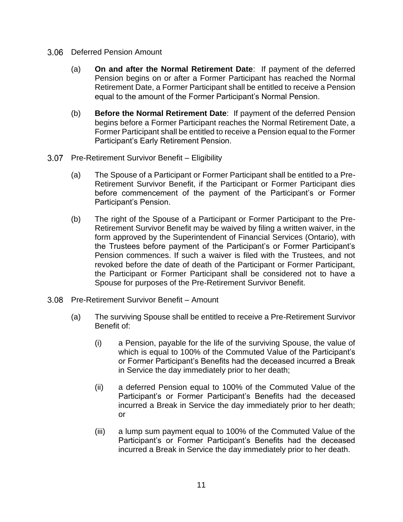- Deferred Pension Amount
	- (a) **On and after the Normal Retirement Date**: If payment of the deferred Pension begins on or after a Former Participant has reached the Normal Retirement Date, a Former Participant shall be entitled to receive a Pension equal to the amount of the Former Participant's Normal Pension.
	- (b) **Before the Normal Retirement Date**: If payment of the deferred Pension begins before a Former Participant reaches the Normal Retirement Date, a Former Participant shall be entitled to receive a Pension equal to the Former Participant's Early Retirement Pension.
- 3.07 Pre-Retirement Survivor Benefit Eligibility
	- (a) The Spouse of a Participant or Former Participant shall be entitled to a Pre-Retirement Survivor Benefit, if the Participant or Former Participant dies before commencement of the payment of the Participant's or Former Participant's Pension.
	- (b) The right of the Spouse of a Participant or Former Participant to the Pre-Retirement Survivor Benefit may be waived by filing a written waiver, in the form approved by the Superintendent of Financial Services (Ontario), with the Trustees before payment of the Participant's or Former Participant's Pension commences. If such a waiver is filed with the Trustees, and not revoked before the date of death of the Participant or Former Participant, the Participant or Former Participant shall be considered not to have a Spouse for purposes of the Pre-Retirement Survivor Benefit.
- Pre-Retirement Survivor Benefit Amount
	- (a) The surviving Spouse shall be entitled to receive a Pre-Retirement Survivor Benefit of:
		- (i) a Pension, payable for the life of the surviving Spouse, the value of which is equal to 100% of the Commuted Value of the Participant's or Former Participant's Benefits had the deceased incurred a Break in Service the day immediately prior to her death;
		- (ii) a deferred Pension equal to 100% of the Commuted Value of the Participant's or Former Participant's Benefits had the deceased incurred a Break in Service the day immediately prior to her death; or
		- (iii) a lump sum payment equal to 100% of the Commuted Value of the Participant's or Former Participant's Benefits had the deceased incurred a Break in Service the day immediately prior to her death.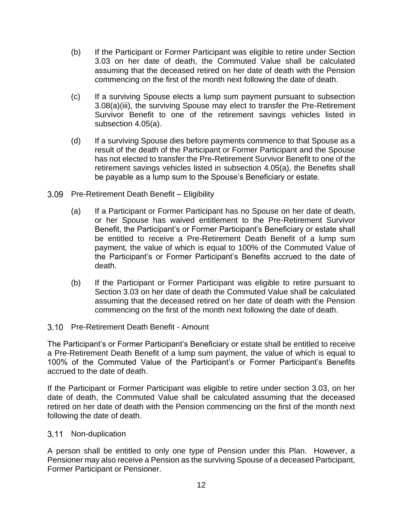- (b) If the Participant or Former Participant was eligible to retire under Section 3.03 on her date of death, the Commuted Value shall be calculated assuming that the deceased retired on her date of death with the Pension commencing on the first of the month next following the date of death.
- (c) If a surviving Spouse elects a lump sum payment pursuant to subsection 3.08(a)(iii), the surviving Spouse may elect to transfer the Pre-Retirement Survivor Benefit to one of the retirement savings vehicles listed in subsection 4.05(a).
- (d) If a surviving Spouse dies before payments commence to that Spouse as a result of the death of the Participant or Former Participant and the Spouse has not elected to transfer the Pre-Retirement Survivor Benefit to one of the retirement savings vehicles listed in subsection 4.05(a), the Benefits shall be payable as a lump sum to the Spouse's Beneficiary or estate.
- 3.09 Pre-Retirement Death Benefit Eligibility
	- (a) If a Participant or Former Participant has no Spouse on her date of death, or her Spouse has waived entitlement to the Pre-Retirement Survivor Benefit, the Participant's or Former Participant's Beneficiary or estate shall be entitled to receive a Pre-Retirement Death Benefit of a lump sum payment, the value of which is equal to 100% of the Commuted Value of the Participant's or Former Participant's Benefits accrued to the date of death.
	- (b) If the Participant or Former Participant was eligible to retire pursuant to Section 3.03 on her date of death the Commuted Value shall be calculated assuming that the deceased retired on her date of death with the Pension commencing on the first of the month next following the date of death.
- 3.10 Pre-Retirement Death Benefit Amount

The Participant's or Former Participant's Beneficiary or estate shall be entitled to receive a Pre-Retirement Death Benefit of a lump sum payment, the value of which is equal to 100% of the Commuted Value of the Participant's or Former Participant's Benefits accrued to the date of death.

If the Participant or Former Participant was eligible to retire under section 3.03, on her date of death, the Commuted Value shall be calculated assuming that the deceased retired on her date of death with the Pension commencing on the first of the month next following the date of death.

Non-duplication  $3.11$ 

A person shall be entitled to only one type of Pension under this Plan. However, a Pensioner may also receive a Pension as the surviving Spouse of a deceased Participant, Former Participant or Pensioner.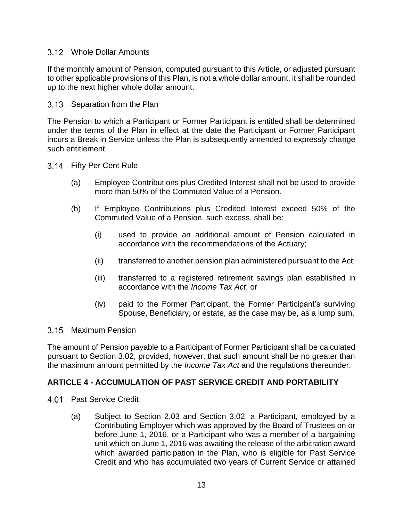## Whole Dollar Amounts

If the monthly amount of Pension, computed pursuant to this Article, or adjusted pursuant to other applicable provisions of this Plan, is not a whole dollar amount, it shall be rounded up to the next higher whole dollar amount.

### Separation from the Plan

The Pension to which a Participant or Former Participant is entitled shall be determined under the terms of the Plan in effect at the date the Participant or Former Participant incurs a Break in Service unless the Plan is subsequently amended to expressly change such entitlement.

- 3.14 Fifty Per Cent Rule
	- (a) Employee Contributions plus Credited Interest shall not be used to provide more than 50% of the Commuted Value of a Pension.
	- (b) If Employee Contributions plus Credited Interest exceed 50% of the Commuted Value of a Pension, such excess, shall be:
		- (i) used to provide an additional amount of Pension calculated in accordance with the recommendations of the Actuary;
		- (ii) transferred to another pension plan administered pursuant to the Act;
		- (iii) transferred to a registered retirement savings plan established in accordance with the *Income Tax Act*; or
		- (iv) paid to the Former Participant, the Former Participant's surviving Spouse, Beneficiary, or estate, as the case may be, as a lump sum.
- 3.15 Maximum Pension

The amount of Pension payable to a Participant of Former Participant shall be calculated pursuant to Section 3.02, provided, however, that such amount shall be no greater than the maximum amount permitted by the *Income Tax Act* and the regulations thereunder.

# **ARTICLE 4 - ACCUMULATION OF PAST SERVICE CREDIT AND PORTABILITY**

- 4.01 Past Service Credit
	- (a) Subject to Section 2.03 and Section 3.02, a Participant, employed by a Contributing Employer which was approved by the Board of Trustees on or before June 1, 2016, or a Participant who was a member of a bargaining unit which on June 1, 2016 was awaiting the release of the arbitration award which awarded participation in the Plan, who is eligible for Past Service Credit and who has accumulated two years of Current Service or attained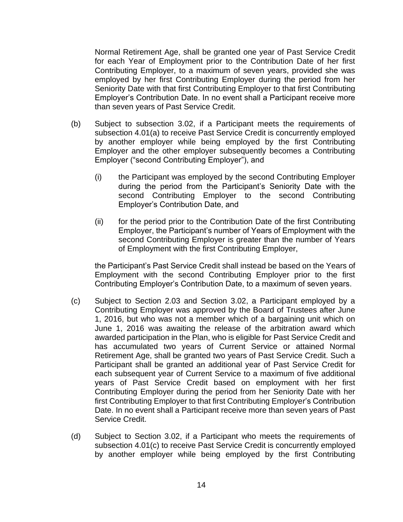Normal Retirement Age, shall be granted one year of Past Service Credit for each Year of Employment prior to the Contribution Date of her first Contributing Employer, to a maximum of seven years, provided she was employed by her first Contributing Employer during the period from her Seniority Date with that first Contributing Employer to that first Contributing Employer's Contribution Date. In no event shall a Participant receive more than seven years of Past Service Credit.

- (b) Subject to subsection 3.02, if a Participant meets the requirements of subsection 4.01(a) to receive Past Service Credit is concurrently employed by another employer while being employed by the first Contributing Employer and the other employer subsequently becomes a Contributing Employer ("second Contributing Employer"), and
	- (i) the Participant was employed by the second Contributing Employer during the period from the Participant's Seniority Date with the second Contributing Employer to the second Contributing Employer's Contribution Date, and
	- (ii) for the period prior to the Contribution Date of the first Contributing Employer, the Participant's number of Years of Employment with the second Contributing Employer is greater than the number of Years of Employment with the first Contributing Employer,

the Participant's Past Service Credit shall instead be based on the Years of Employment with the second Contributing Employer prior to the first Contributing Employer's Contribution Date, to a maximum of seven years.

- (c) Subject to Section 2.03 and Section 3.02, a Participant employed by a Contributing Employer was approved by the Board of Trustees after June 1, 2016, but who was not a member which of a bargaining unit which on June 1, 2016 was awaiting the release of the arbitration award which awarded participation in the Plan, who is eligible for Past Service Credit and has accumulated two years of Current Service or attained Normal Retirement Age, shall be granted two years of Past Service Credit. Such a Participant shall be granted an additional year of Past Service Credit for each subsequent year of Current Service to a maximum of five additional years of Past Service Credit based on employment with her first Contributing Employer during the period from her Seniority Date with her first Contributing Employer to that first Contributing Employer's Contribution Date. In no event shall a Participant receive more than seven years of Past Service Credit.
- (d) Subject to Section 3.02, if a Participant who meets the requirements of subsection 4.01(c) to receive Past Service Credit is concurrently employed by another employer while being employed by the first Contributing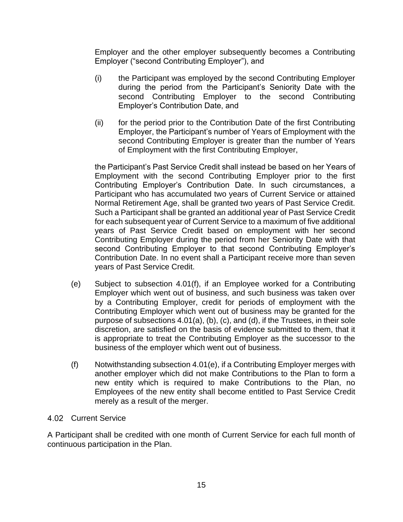Employer and the other employer subsequently becomes a Contributing Employer ("second Contributing Employer"), and

- (i) the Participant was employed by the second Contributing Employer during the period from the Participant's Seniority Date with the second Contributing Employer to the second Contributing Employer's Contribution Date, and
- (ii) for the period prior to the Contribution Date of the first Contributing Employer, the Participant's number of Years of Employment with the second Contributing Employer is greater than the number of Years of Employment with the first Contributing Employer,

the Participant's Past Service Credit shall instead be based on her Years of Employment with the second Contributing Employer prior to the first Contributing Employer's Contribution Date. In such circumstances, a Participant who has accumulated two years of Current Service or attained Normal Retirement Age, shall be granted two years of Past Service Credit. Such a Participant shall be granted an additional year of Past Service Credit for each subsequent year of Current Service to a maximum of five additional years of Past Service Credit based on employment with her second Contributing Employer during the period from her Seniority Date with that second Contributing Employer to that second Contributing Employer's Contribution Date. In no event shall a Participant receive more than seven years of Past Service Credit.

- (e) Subject to subsection 4.01(f), if an Employee worked for a Contributing Employer which went out of business, and such business was taken over by a Contributing Employer, credit for periods of employment with the Contributing Employer which went out of business may be granted for the purpose of subsections 4.01(a), (b), (c), and (d), if the Trustees, in their sole discretion, are satisfied on the basis of evidence submitted to them, that it is appropriate to treat the Contributing Employer as the successor to the business of the employer which went out of business.
- (f) Notwithstanding subsection 4.01(e), if a Contributing Employer merges with another employer which did not make Contributions to the Plan to form a new entity which is required to make Contributions to the Plan, no Employees of the new entity shall become entitled to Past Service Credit merely as a result of the merger.

#### 4.02 Current Service

A Participant shall be credited with one month of Current Service for each full month of continuous participation in the Plan.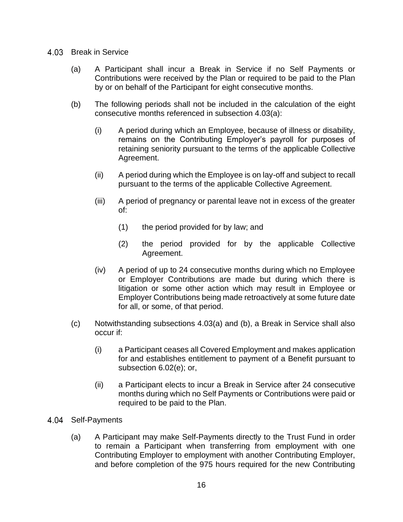#### 4.03 Break in Service

- (a) A Participant shall incur a Break in Service if no Self Payments or Contributions were received by the Plan or required to be paid to the Plan by or on behalf of the Participant for eight consecutive months.
- (b) The following periods shall not be included in the calculation of the eight consecutive months referenced in subsection 4.03(a):
	- (i) A period during which an Employee, because of illness or disability, remains on the Contributing Employer's payroll for purposes of retaining seniority pursuant to the terms of the applicable Collective Agreement.
	- (ii) A period during which the Employee is on lay-off and subject to recall pursuant to the terms of the applicable Collective Agreement.
	- (iii) A period of pregnancy or parental leave not in excess of the greater of:
		- (1) the period provided for by law; and
		- (2) the period provided for by the applicable Collective Agreement.
	- (iv) A period of up to 24 consecutive months during which no Employee or Employer Contributions are made but during which there is litigation or some other action which may result in Employee or Employer Contributions being made retroactively at some future date for all, or some, of that period.
- (c) Notwithstanding subsections 4.03(a) and (b), a Break in Service shall also occur if:
	- (i) a Participant ceases all Covered Employment and makes application for and establishes entitlement to payment of a Benefit pursuant to subsection 6.02(e); or,
	- (ii) a Participant elects to incur a Break in Service after 24 consecutive months during which no Self Payments or Contributions were paid or required to be paid to the Plan.
- 4.04 Self-Payments
	- (a) A Participant may make Self-Payments directly to the Trust Fund in order to remain a Participant when transferring from employment with one Contributing Employer to employment with another Contributing Employer, and before completion of the 975 hours required for the new Contributing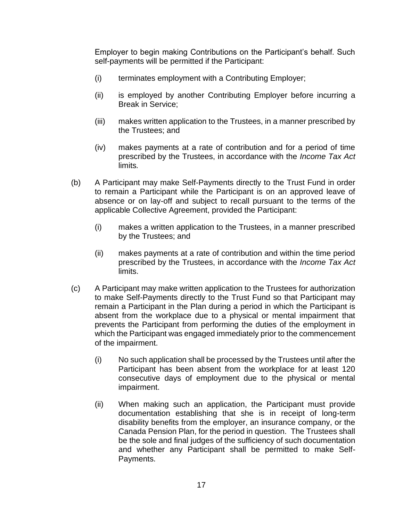Employer to begin making Contributions on the Participant's behalf. Such self-payments will be permitted if the Participant:

- (i) terminates employment with a Contributing Employer;
- (ii) is employed by another Contributing Employer before incurring a Break in Service;
- (iii) makes written application to the Trustees, in a manner prescribed by the Trustees; and
- (iv) makes payments at a rate of contribution and for a period of time prescribed by the Trustees, in accordance with the *Income Tax Act* limits*.*
- (b) A Participant may make Self-Payments directly to the Trust Fund in order to remain a Participant while the Participant is on an approved leave of absence or on lay-off and subject to recall pursuant to the terms of the applicable Collective Agreement, provided the Participant:
	- (i) makes a written application to the Trustees, in a manner prescribed by the Trustees; and
	- (ii) makes payments at a rate of contribution and within the time period prescribed by the Trustees, in accordance with the *Income Tax Act* limits.
- (c) A Participant may make written application to the Trustees for authorization to make Self-Payments directly to the Trust Fund so that Participant may remain a Participant in the Plan during a period in which the Participant is absent from the workplace due to a physical or mental impairment that prevents the Participant from performing the duties of the employment in which the Participant was engaged immediately prior to the commencement of the impairment.
	- (i) No such application shall be processed by the Trustees until after the Participant has been absent from the workplace for at least 120 consecutive days of employment due to the physical or mental impairment.
	- (ii) When making such an application, the Participant must provide documentation establishing that she is in receipt of long-term disability benefits from the employer, an insurance company, or the Canada Pension Plan, for the period in question. The Trustees shall be the sole and final judges of the sufficiency of such documentation and whether any Participant shall be permitted to make Self-Payments.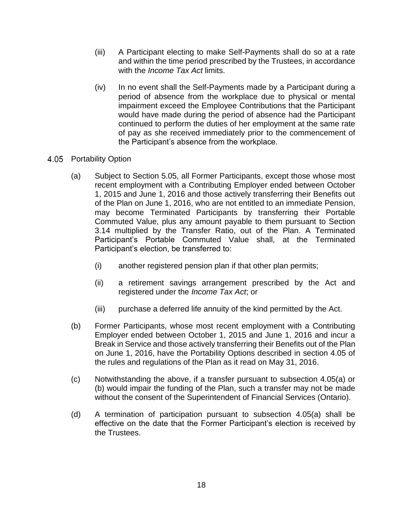- (iii) A Participant electing to make Self-Payments shall do so at a rate and within the time period prescribed by the Trustees, in accordance with the *Income Tax Act* limits.
- (iv) In no event shall the Self-Payments made by a Participant during a period of absence from the workplace due to physical or mental impairment exceed the Employee Contributions that the Participant would have made during the period of absence had the Participant continued to perform the duties of her employment at the same rate of pay as she received immediately prior to the commencement of the Participant's absence from the workplace.
- 4.05 Portability Option
	- (a) Subject to Section 5.05, all Former Participants, except those whose most recent employment with a Contributing Employer ended between October 1, 2015 and June 1, 2016 and those actively transferring their Benefits out of the Plan on June 1, 2016, who are not entitled to an immediate Pension, may become Terminated Participants by transferring their Portable Commuted Value, plus any amount payable to them pursuant to Section 3.14 multiplied by the Transfer Ratio, out of the Plan. A Terminated Participant's Portable Commuted Value shall, at the Terminated Participant's election, be transferred to:
		- (i) another registered pension plan if that other plan permits;
		- (ii) a retirement savings arrangement prescribed by the Act and registered under the *Income Tax Act*; or
		- (iii) purchase a deferred life annuity of the kind permitted by the Act.
	- (b) Former Participants, whose most recent employment with a Contributing Employer ended between October 1, 2015 and June 1, 2016 and incur a Break in Service and those actively transferring their Benefits out of the Plan on June 1, 2016, have the Portability Options described in section 4.05 of the rules and regulations of the Plan as it read on May 31, 2016.
	- (c) Notwithstanding the above, if a transfer pursuant to subsection 4.05(a) or (b) would impair the funding of the Plan, such a transfer may not be made without the consent of the Superintendent of Financial Services (Ontario).
	- (d) A termination of participation pursuant to subsection 4.05(a) shall be effective on the date that the Former Participant's election is received by the Trustees.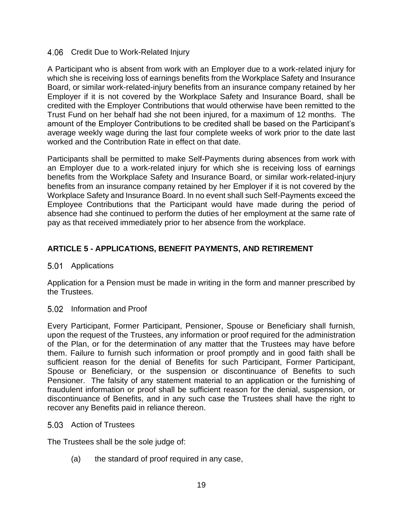### 4.06 Credit Due to Work-Related Injury

A Participant who is absent from work with an Employer due to a work-related injury for which she is receiving loss of earnings benefits from the Workplace Safety and Insurance Board, or similar work-related-injury benefits from an insurance company retained by her Employer if it is not covered by the Workplace Safety and Insurance Board, shall be credited with the Employer Contributions that would otherwise have been remitted to the Trust Fund on her behalf had she not been injured, for a maximum of 12 months. The amount of the Employer Contributions to be credited shall be based on the Participant's average weekly wage during the last four complete weeks of work prior to the date last worked and the Contribution Rate in effect on that date.

Participants shall be permitted to make Self-Payments during absences from work with an Employer due to a work-related injury for which she is receiving loss of earnings benefits from the Workplace Safety and Insurance Board, or similar work-related-injury benefits from an insurance company retained by her Employer if it is not covered by the Workplace Safety and Insurance Board. In no event shall such Self-Payments exceed the Employee Contributions that the Participant would have made during the period of absence had she continued to perform the duties of her employment at the same rate of pay as that received immediately prior to her absence from the workplace.

# **ARTICLE 5 - APPLICATIONS, BENEFIT PAYMENTS, AND RETIREMENT**

# 5.01 Applications

Application for a Pension must be made in writing in the form and manner prescribed by the Trustees.

5.02 Information and Proof

Every Participant, Former Participant, Pensioner, Spouse or Beneficiary shall furnish, upon the request of the Trustees, any information or proof required for the administration of the Plan, or for the determination of any matter that the Trustees may have before them. Failure to furnish such information or proof promptly and in good faith shall be sufficient reason for the denial of Benefits for such Participant, Former Participant, Spouse or Beneficiary, or the suspension or discontinuance of Benefits to such Pensioner. The falsity of any statement material to an application or the furnishing of fraudulent information or proof shall be sufficient reason for the denial, suspension, or discontinuance of Benefits, and in any such case the Trustees shall have the right to recover any Benefits paid in reliance thereon.

# 5.03 Action of Trustees

The Trustees shall be the sole judge of:

(a) the standard of proof required in any case,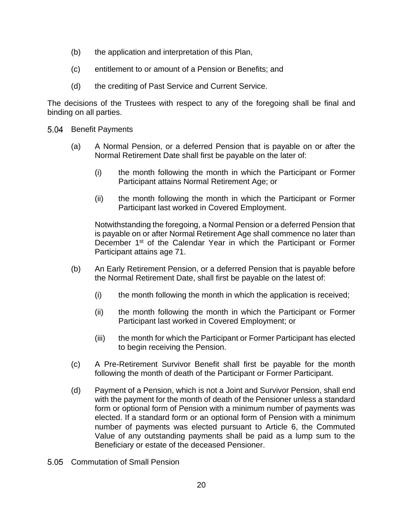- (b) the application and interpretation of this Plan,
- (c) entitlement to or amount of a Pension or Benefits; and
- (d) the crediting of Past Service and Current Service.

The decisions of the Trustees with respect to any of the foregoing shall be final and binding on all parties.

- 5.04 Benefit Payments
	- (a) A Normal Pension, or a deferred Pension that is payable on or after the Normal Retirement Date shall first be payable on the later of:
		- (i) the month following the month in which the Participant or Former Participant attains Normal Retirement Age; or
		- (ii) the month following the month in which the Participant or Former Participant last worked in Covered Employment.

Notwithstanding the foregoing, a Normal Pension or a deferred Pension that is payable on or after Normal Retirement Age shall commence no later than December 1<sup>st</sup> of the Calendar Year in which the Participant or Former Participant attains age 71.

- (b) An Early Retirement Pension, or a deferred Pension that is payable before the Normal Retirement Date, shall first be payable on the latest of:
	- (i) the month following the month in which the application is received;
	- (ii) the month following the month in which the Participant or Former Participant last worked in Covered Employment; or
	- (iii) the month for which the Participant or Former Participant has elected to begin receiving the Pension.
- (c) A Pre-Retirement Survivor Benefit shall first be payable for the month following the month of death of the Participant or Former Participant.
- (d) Payment of a Pension, which is not a Joint and Survivor Pension, shall end with the payment for the month of death of the Pensioner unless a standard form or optional form of Pension with a minimum number of payments was elected. If a standard form or an optional form of Pension with a minimum number of payments was elected pursuant to Article 6, the Commuted Value of any outstanding payments shall be paid as a lump sum to the Beneficiary or estate of the deceased Pensioner.
- 5.05 Commutation of Small Pension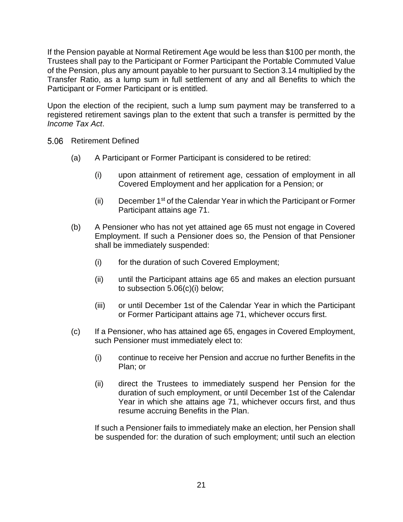If the Pension payable at Normal Retirement Age would be less than \$100 per month, the Trustees shall pay to the Participant or Former Participant the Portable Commuted Value of the Pension, plus any amount payable to her pursuant to Section 3.14 multiplied by the Transfer Ratio, as a lump sum in full settlement of any and all Benefits to which the Participant or Former Participant or is entitled.

Upon the election of the recipient, such a lump sum payment may be transferred to a registered retirement savings plan to the extent that such a transfer is permitted by the *Income Tax Act*.

- 5.06 Retirement Defined
	- (a) A Participant or Former Participant is considered to be retired:
		- (i) upon attainment of retirement age, cessation of employment in all Covered Employment and her application for a Pension; or
		- (ii) December  $1<sup>st</sup>$  of the Calendar Year in which the Participant or Former Participant attains age 71.
	- (b) A Pensioner who has not yet attained age 65 must not engage in Covered Employment. If such a Pensioner does so, the Pension of that Pensioner shall be immediately suspended:
		- (i) for the duration of such Covered Employment;
		- (ii) until the Participant attains age 65 and makes an election pursuant to subsection 5.06(c)(i) below;
		- (iii) or until December 1st of the Calendar Year in which the Participant or Former Participant attains age 71, whichever occurs first.
	- (c) If a Pensioner, who has attained age 65, engages in Covered Employment, such Pensioner must immediately elect to:
		- (i) continue to receive her Pension and accrue no further Benefits in the Plan; or
		- (ii) direct the Trustees to immediately suspend her Pension for the duration of such employment, or until December 1st of the Calendar Year in which she attains age 71, whichever occurs first, and thus resume accruing Benefits in the Plan.

If such a Pensioner fails to immediately make an election, her Pension shall be suspended for: the duration of such employment; until such an election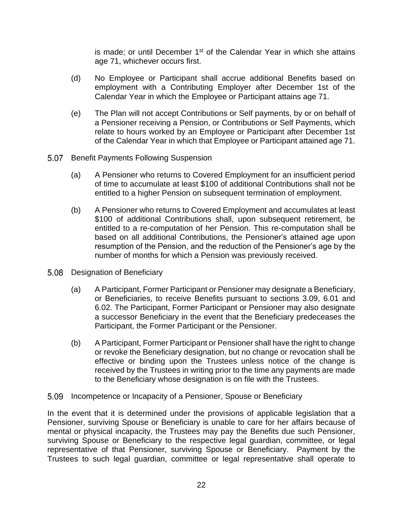is made; or until December  $1<sup>st</sup>$  of the Calendar Year in which she attains age 71, whichever occurs first.

- (d) No Employee or Participant shall accrue additional Benefits based on employment with a Contributing Employer after December 1st of the Calendar Year in which the Employee or Participant attains age 71.
- (e) The Plan will not accept Contributions or Self payments, by or on behalf of a Pensioner receiving a Pension, or Contributions or Self Payments, which relate to hours worked by an Employee or Participant after December 1st of the Calendar Year in which that Employee or Participant attained age 71.
- $5.07$ Benefit Payments Following Suspension
	- (a) A Pensioner who returns to Covered Employment for an insufficient period of time to accumulate at least \$100 of additional Contributions shall not be entitled to a higher Pension on subsequent termination of employment.
	- (b) A Pensioner who returns to Covered Employment and accumulates at least \$100 of additional Contributions shall, upon subsequent retirement, be entitled to a re-computation of her Pension. This re-computation shall be based on all additional Contributions, the Pensioner's attained age upon resumption of the Pension, and the reduction of the Pensioner's age by the number of months for which a Pension was previously received.
- 5.08 Designation of Beneficiary
	- (a) A Participant, Former Participant or Pensioner may designate a Beneficiary, or Beneficiaries, to receive Benefits pursuant to sections 3.09, 6.01 and 6.02. The Participant, Former Participant or Pensioner may also designate a successor Beneficiary in the event that the Beneficiary predeceases the Participant, the Former Participant or the Pensioner.
	- (b) A Participant, Former Participant or Pensioner shall have the right to change or revoke the Beneficiary designation, but no change or revocation shall be effective or binding upon the Trustees unless notice of the change is received by the Trustees in writing prior to the time any payments are made to the Beneficiary whose designation is on file with the Trustees.
- 5.09 Incompetence or Incapacity of a Pensioner, Spouse or Beneficiary

In the event that it is determined under the provisions of applicable legislation that a Pensioner, surviving Spouse or Beneficiary is unable to care for her affairs because of mental or physical incapacity, the Trustees may pay the Benefits due such Pensioner, surviving Spouse or Beneficiary to the respective legal guardian, committee, or legal representative of that Pensioner, surviving Spouse or Beneficiary. Payment by the Trustees to such legal guardian, committee or legal representative shall operate to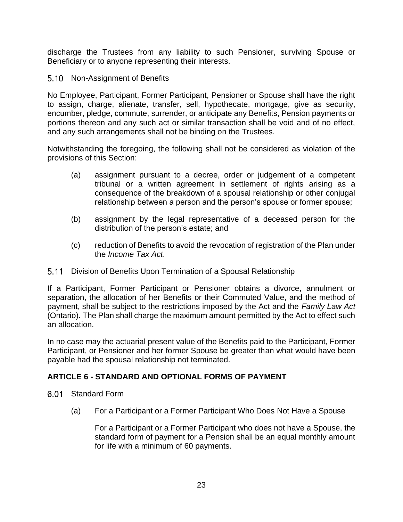discharge the Trustees from any liability to such Pensioner, surviving Spouse or Beneficiary or to anyone representing their interests.

5.10 Non-Assignment of Benefits

No Employee, Participant, Former Participant, Pensioner or Spouse shall have the right to assign, charge, alienate, transfer, sell, hypothecate, mortgage, give as security, encumber, pledge, commute, surrender, or anticipate any Benefits, Pension payments or portions thereon and any such act or similar transaction shall be void and of no effect, and any such arrangements shall not be binding on the Trustees.

Notwithstanding the foregoing, the following shall not be considered as violation of the provisions of this Section:

- (a) assignment pursuant to a decree, order or judgement of a competent tribunal or a written agreement in settlement of rights arising as a consequence of the breakdown of a spousal relationship or other conjugal relationship between a person and the person's spouse or former spouse;
- (b) assignment by the legal representative of a deceased person for the distribution of the person's estate; and
- (c) reduction of Benefits to avoid the revocation of registration of the Plan under the *Income Tax Act*.

# 5.11 Division of Benefits Upon Termination of a Spousal Relationship

If a Participant, Former Participant or Pensioner obtains a divorce, annulment or separation, the allocation of her Benefits or their Commuted Value, and the method of payment, shall be subject to the restrictions imposed by the Act and the *Family Law Act* (Ontario). The Plan shall charge the maximum amount permitted by the Act to effect such an allocation.

In no case may the actuarial present value of the Benefits paid to the Participant, Former Participant, or Pensioner and her former Spouse be greater than what would have been payable had the spousal relationship not terminated.

# **ARTICLE 6 - STANDARD AND OPTIONAL FORMS OF PAYMENT**

- 6.01 Standard Form
	- (a) For a Participant or a Former Participant Who Does Not Have a Spouse

For a Participant or a Former Participant who does not have a Spouse, the standard form of payment for a Pension shall be an equal monthly amount for life with a minimum of 60 payments.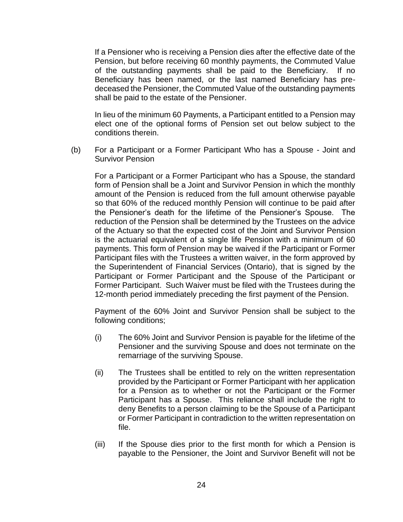If a Pensioner who is receiving a Pension dies after the effective date of the Pension, but before receiving 60 monthly payments, the Commuted Value of the outstanding payments shall be paid to the Beneficiary. If no Beneficiary has been named, or the last named Beneficiary has predeceased the Pensioner, the Commuted Value of the outstanding payments shall be paid to the estate of the Pensioner.

In lieu of the minimum 60 Payments, a Participant entitled to a Pension may elect one of the optional forms of Pension set out below subject to the conditions therein.

(b) For a Participant or a Former Participant Who has a Spouse - Joint and Survivor Pension

For a Participant or a Former Participant who has a Spouse, the standard form of Pension shall be a Joint and Survivor Pension in which the monthly amount of the Pension is reduced from the full amount otherwise payable so that 60% of the reduced monthly Pension will continue to be paid after the Pensioner's death for the lifetime of the Pensioner's Spouse. The reduction of the Pension shall be determined by the Trustees on the advice of the Actuary so that the expected cost of the Joint and Survivor Pension is the actuarial equivalent of a single life Pension with a minimum of 60 payments. This form of Pension may be waived if the Participant or Former Participant files with the Trustees a written waiver, in the form approved by the Superintendent of Financial Services (Ontario), that is signed by the Participant or Former Participant and the Spouse of the Participant or Former Participant. Such Waiver must be filed with the Trustees during the 12-month period immediately preceding the first payment of the Pension.

Payment of the 60% Joint and Survivor Pension shall be subject to the following conditions;

- (i) The 60% Joint and Survivor Pension is payable for the lifetime of the Pensioner and the surviving Spouse and does not terminate on the remarriage of the surviving Spouse.
- (ii) The Trustees shall be entitled to rely on the written representation provided by the Participant or Former Participant with her application for a Pension as to whether or not the Participant or the Former Participant has a Spouse. This reliance shall include the right to deny Benefits to a person claiming to be the Spouse of a Participant or Former Participant in contradiction to the written representation on file.
- (iii) If the Spouse dies prior to the first month for which a Pension is payable to the Pensioner, the Joint and Survivor Benefit will not be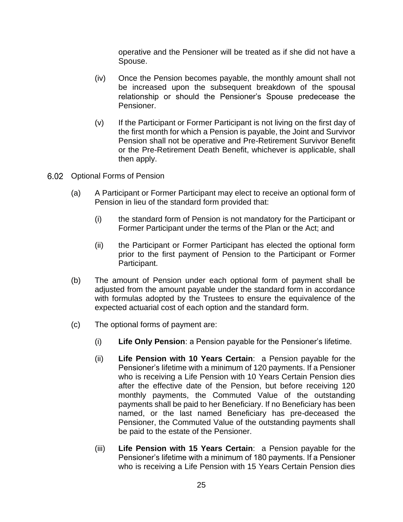operative and the Pensioner will be treated as if she did not have a Spouse.

- (iv) Once the Pension becomes payable, the monthly amount shall not be increased upon the subsequent breakdown of the spousal relationship or should the Pensioner's Spouse predecease the Pensioner.
- (v) If the Participant or Former Participant is not living on the first day of the first month for which a Pension is payable, the Joint and Survivor Pension shall not be operative and Pre-Retirement Survivor Benefit or the Pre-Retirement Death Benefit, whichever is applicable, shall then apply.
- 6.02 Optional Forms of Pension
	- (a) A Participant or Former Participant may elect to receive an optional form of Pension in lieu of the standard form provided that:
		- (i) the standard form of Pension is not mandatory for the Participant or Former Participant under the terms of the Plan or the Act; and
		- (ii) the Participant or Former Participant has elected the optional form prior to the first payment of Pension to the Participant or Former Participant.
	- (b) The amount of Pension under each optional form of payment shall be adjusted from the amount payable under the standard form in accordance with formulas adopted by the Trustees to ensure the equivalence of the expected actuarial cost of each option and the standard form.
	- (c) The optional forms of payment are:
		- (i) **Life Only Pension**: a Pension payable for the Pensioner's lifetime.
		- (ii) **Life Pension with 10 Years Certain**: a Pension payable for the Pensioner's lifetime with a minimum of 120 payments. If a Pensioner who is receiving a Life Pension with 10 Years Certain Pension dies after the effective date of the Pension, but before receiving 120 monthly payments, the Commuted Value of the outstanding payments shall be paid to her Beneficiary. If no Beneficiary has been named, or the last named Beneficiary has pre-deceased the Pensioner, the Commuted Value of the outstanding payments shall be paid to the estate of the Pensioner.
		- (iii) **Life Pension with 15 Years Certain**: a Pension payable for the Pensioner's lifetime with a minimum of 180 payments. If a Pensioner who is receiving a Life Pension with 15 Years Certain Pension dies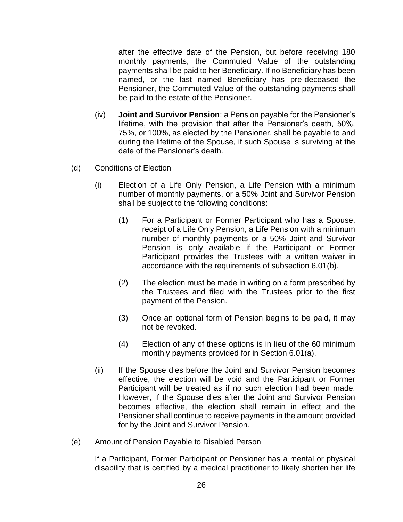after the effective date of the Pension, but before receiving 180 monthly payments, the Commuted Value of the outstanding payments shall be paid to her Beneficiary. If no Beneficiary has been named, or the last named Beneficiary has pre-deceased the Pensioner, the Commuted Value of the outstanding payments shall be paid to the estate of the Pensioner.

- (iv) **Joint and Survivor Pension**: a Pension payable for the Pensioner's lifetime, with the provision that after the Pensioner's death, 50%, 75%, or 100%, as elected by the Pensioner, shall be payable to and during the lifetime of the Spouse, if such Spouse is surviving at the date of the Pensioner's death.
- (d) Conditions of Election
	- (i) Election of a Life Only Pension, a Life Pension with a minimum number of monthly payments, or a 50% Joint and Survivor Pension shall be subject to the following conditions:
		- (1) For a Participant or Former Participant who has a Spouse, receipt of a Life Only Pension, a Life Pension with a minimum number of monthly payments or a 50% Joint and Survivor Pension is only available if the Participant or Former Participant provides the Trustees with a written waiver in accordance with the requirements of subsection 6.01(b).
		- (2) The election must be made in writing on a form prescribed by the Trustees and filed with the Trustees prior to the first payment of the Pension.
		- (3) Once an optional form of Pension begins to be paid, it may not be revoked.
		- (4) Election of any of these options is in lieu of the 60 minimum monthly payments provided for in Section 6.01(a).
	- (ii) If the Spouse dies before the Joint and Survivor Pension becomes effective, the election will be void and the Participant or Former Participant will be treated as if no such election had been made. However, if the Spouse dies after the Joint and Survivor Pension becomes effective, the election shall remain in effect and the Pensioner shall continue to receive payments in the amount provided for by the Joint and Survivor Pension.
- (e) Amount of Pension Payable to Disabled Person

If a Participant, Former Participant or Pensioner has a mental or physical disability that is certified by a medical practitioner to likely shorten her life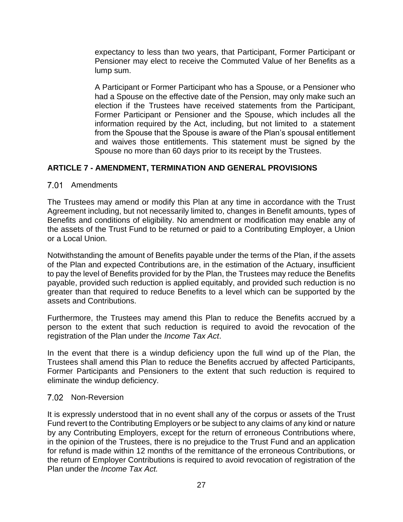expectancy to less than two years, that Participant, Former Participant or Pensioner may elect to receive the Commuted Value of her Benefits as a lump sum.

A Participant or Former Participant who has a Spouse, or a Pensioner who had a Spouse on the effective date of the Pension, may only make such an election if the Trustees have received statements from the Participant, Former Participant or Pensioner and the Spouse, which includes all the information required by the Act, including, but not limited to a statement from the Spouse that the Spouse is aware of the Plan's spousal entitlement and waives those entitlements. This statement must be signed by the Spouse no more than 60 days prior to its receipt by the Trustees.

# **ARTICLE 7 - AMENDMENT, TERMINATION AND GENERAL PROVISIONS**

#### 7.01 Amendments

The Trustees may amend or modify this Plan at any time in accordance with the Trust Agreement including, but not necessarily limited to, changes in Benefit amounts, types of Benefits and conditions of eligibility. No amendment or modification may enable any of the assets of the Trust Fund to be returned or paid to a Contributing Employer, a Union or a Local Union.

Notwithstanding the amount of Benefits payable under the terms of the Plan, if the assets of the Plan and expected Contributions are, in the estimation of the Actuary, insufficient to pay the level of Benefits provided for by the Plan, the Trustees may reduce the Benefits payable, provided such reduction is applied equitably, and provided such reduction is no greater than that required to reduce Benefits to a level which can be supported by the assets and Contributions.

Furthermore, the Trustees may amend this Plan to reduce the Benefits accrued by a person to the extent that such reduction is required to avoid the revocation of the registration of the Plan under the *Income Tax Act*.

In the event that there is a windup deficiency upon the full wind up of the Plan, the Trustees shall amend this Plan to reduce the Benefits accrued by affected Participants, Former Participants and Pensioners to the extent that such reduction is required to eliminate the windup deficiency.

#### 7.02 Non-Reversion

It is expressly understood that in no event shall any of the corpus or assets of the Trust Fund revert to the Contributing Employers or be subject to any claims of any kind or nature by any Contributing Employers, except for the return of erroneous Contributions where, in the opinion of the Trustees, there is no prejudice to the Trust Fund and an application for refund is made within 12 months of the remittance of the erroneous Contributions, or the return of Employer Contributions is required to avoid revocation of registration of the Plan under the *Income Tax Act.*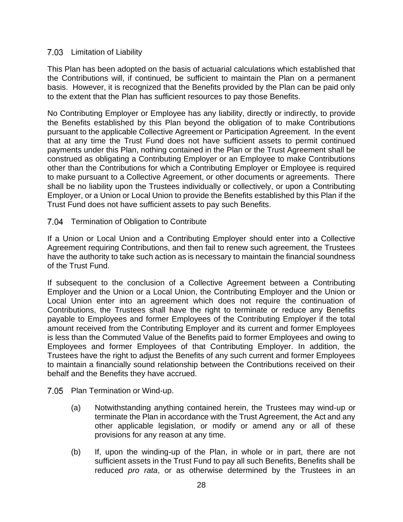### 7.03 Limitation of Liability

This Plan has been adopted on the basis of actuarial calculations which established that the Contributions will, if continued, be sufficient to maintain the Plan on a permanent basis. However, it is recognized that the Benefits provided by the Plan can be paid only to the extent that the Plan has sufficient resources to pay those Benefits.

No Contributing Employer or Employee has any liability, directly or indirectly, to provide the Benefits established by this Plan beyond the obligation of to make Contributions pursuant to the applicable Collective Agreement or Participation Agreement. In the event that at any time the Trust Fund does not have sufficient assets to permit continued payments under this Plan, nothing contained in the Plan or the Trust Agreement shall be construed as obligating a Contributing Employer or an Employee to make Contributions other than the Contributions for which a Contributing Employer or Employee is required to make pursuant to a Collective Agreement, or other documents or agreements. There shall be no liability upon the Trustees individually or collectively, or upon a Contributing Employer, or a Union or Local Union to provide the Benefits established by this Plan if the Trust Fund does not have sufficient assets to pay such Benefits.

## 7.04 Termination of Obligation to Contribute

If a Union or Local Union and a Contributing Employer should enter into a Collective Agreement requiring Contributions, and then fail to renew such agreement, the Trustees have the authority to take such action as is necessary to maintain the financial soundness of the Trust Fund.

If subsequent to the conclusion of a Collective Agreement between a Contributing Employer and the Union or a Local Union, the Contributing Employer and the Union or Local Union enter into an agreement which does not require the continuation of Contributions, the Trustees shall have the right to terminate or reduce any Benefits payable to Employees and former Employees of the Contributing Employer if the total amount received from the Contributing Employer and its current and former Employees is less than the Commuted Value of the Benefits paid to former Employees and owing to Employees and former Employees of that Contributing Employer. In addition, the Trustees have the right to adjust the Benefits of any such current and former Employees to maintain a financially sound relationship between the Contributions received on their behalf and the Benefits they have accrued.

7.05 Plan Termination or Wind-up.

- (a) Notwithstanding anything contained herein, the Trustees may wind-up or terminate the Plan in accordance with the Trust Agreement, the Act and any other applicable legislation, or modify or amend any or all of these provisions for any reason at any time.
- (b) If, upon the winding-up of the Plan, in whole or in part, there are not sufficient assets in the Trust Fund to pay all such Benefits, Benefits shall be reduced *pro rata*, or as otherwise determined by the Trustees in an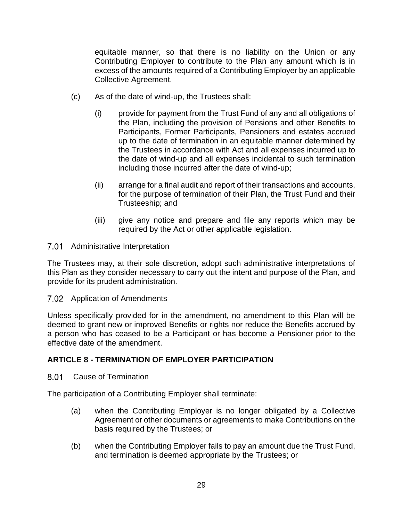equitable manner, so that there is no liability on the Union or any Contributing Employer to contribute to the Plan any amount which is in excess of the amounts required of a Contributing Employer by an applicable Collective Agreement.

- (c) As of the date of wind-up, the Trustees shall:
	- (i) provide for payment from the Trust Fund of any and all obligations of the Plan, including the provision of Pensions and other Benefits to Participants, Former Participants, Pensioners and estates accrued up to the date of termination in an equitable manner determined by the Trustees in accordance with Act and all expenses incurred up to the date of wind-up and all expenses incidental to such termination including those incurred after the date of wind-up;
	- (ii) arrange for a final audit and report of their transactions and accounts, for the purpose of termination of their Plan, the Trust Fund and their Trusteeship; and
	- (iii) give any notice and prepare and file any reports which may be required by the Act or other applicable legislation.

7.01 Administrative Interpretation

The Trustees may, at their sole discretion, adopt such administrative interpretations of this Plan as they consider necessary to carry out the intent and purpose of the Plan, and provide for its prudent administration.

7.02 Application of Amendments

Unless specifically provided for in the amendment, no amendment to this Plan will be deemed to grant new or improved Benefits or rights nor reduce the Benefits accrued by a person who has ceased to be a Participant or has become a Pensioner prior to the effective date of the amendment.

# **ARTICLE 8 - TERMINATION OF EMPLOYER PARTICIPATION**

 $8.01$ Cause of Termination

The participation of a Contributing Employer shall terminate:

- (a) when the Contributing Employer is no longer obligated by a Collective Agreement or other documents or agreements to make Contributions on the basis required by the Trustees; or
- (b) when the Contributing Employer fails to pay an amount due the Trust Fund, and termination is deemed appropriate by the Trustees; or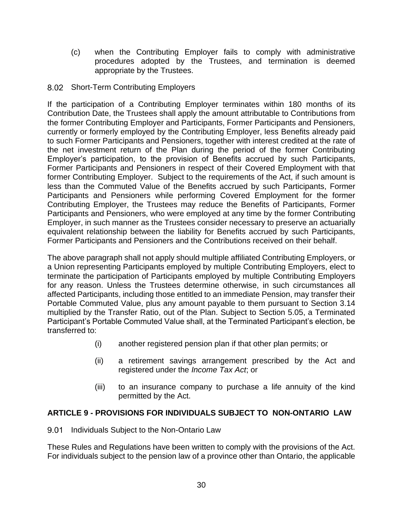(c) when the Contributing Employer fails to comply with administrative procedures adopted by the Trustees, and termination is deemed appropriate by the Trustees.

## 8.02 Short-Term Contributing Employers

If the participation of a Contributing Employer terminates within 180 months of its Contribution Date, the Trustees shall apply the amount attributable to Contributions from the former Contributing Employer and Participants, Former Participants and Pensioners, currently or formerly employed by the Contributing Employer, less Benefits already paid to such Former Participants and Pensioners, together with interest credited at the rate of the net investment return of the Plan during the period of the former Contributing Employer's participation, to the provision of Benefits accrued by such Participants, Former Participants and Pensioners in respect of their Covered Employment with that former Contributing Employer. Subject to the requirements of the Act, if such amount is less than the Commuted Value of the Benefits accrued by such Participants, Former Participants and Pensioners while performing Covered Employment for the former Contributing Employer, the Trustees may reduce the Benefits of Participants, Former Participants and Pensioners, who were employed at any time by the former Contributing Employer, in such manner as the Trustees consider necessary to preserve an actuarially equivalent relationship between the liability for Benefits accrued by such Participants, Former Participants and Pensioners and the Contributions received on their behalf.

The above paragraph shall not apply should multiple affiliated Contributing Employers, or a Union representing Participants employed by multiple Contributing Employers, elect to terminate the participation of Participants employed by multiple Contributing Employers for any reason. Unless the Trustees determine otherwise, in such circumstances all affected Participants, including those entitled to an immediate Pension, may transfer their Portable Commuted Value, plus any amount payable to them pursuant to Section 3.14 multiplied by the Transfer Ratio, out of the Plan. Subject to Section 5.05, a Terminated Participant's Portable Commuted Value shall, at the Terminated Participant's election, be transferred to:

- (i) another registered pension plan if that other plan permits; or
- (ii) a retirement savings arrangement prescribed by the Act and registered under the *Income Tax Act*; or
- (iii) to an insurance company to purchase a life annuity of the kind permitted by the Act.

# **ARTICLE 9 - PROVISIONS FOR INDIVIDUALS SUBJECT TO NON-ONTARIO LAW**

Individuals Subject to the Non-Ontario Law 9.01

These Rules and Regulations have been written to comply with the provisions of the Act. For individuals subject to the pension law of a province other than Ontario, the applicable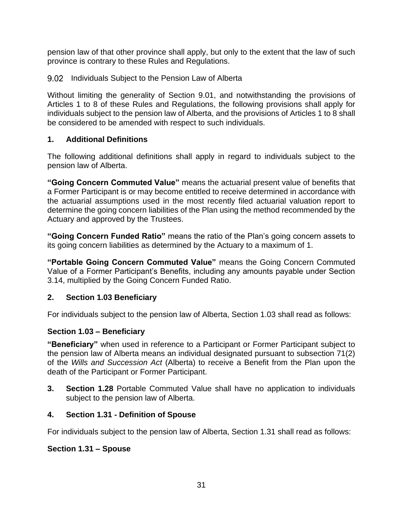pension law of that other province shall apply, but only to the extent that the law of such province is contrary to these Rules and Regulations.

9.02 Individuals Subject to the Pension Law of Alberta

Without limiting the generality of Section 9.01, and notwithstanding the provisions of Articles 1 to 8 of these Rules and Regulations, the following provisions shall apply for individuals subject to the pension law of Alberta, and the provisions of Articles 1 to 8 shall be considered to be amended with respect to such individuals.

# **1. Additional Definitions**

The following additional definitions shall apply in regard to individuals subject to the pension law of Alberta.

**"Going Concern Commuted Value"** means the actuarial present value of benefits that a Former Participant is or may become entitled to receive determined in accordance with the actuarial assumptions used in the most recently filed actuarial valuation report to determine the going concern liabilities of the Plan using the method recommended by the Actuary and approved by the Trustees.

**"Going Concern Funded Ratio"** means the ratio of the Plan's going concern assets to its going concern liabilities as determined by the Actuary to a maximum of 1.

**"Portable Going Concern Commuted Value"** means the Going Concern Commuted Value of a Former Participant's Benefits, including any amounts payable under Section 3.14, multiplied by the Going Concern Funded Ratio.

# **2. Section 1.03 Beneficiary**

For individuals subject to the pension law of Alberta, Section 1.03 shall read as follows:

# **Section 1.03 – Beneficiary**

**"Beneficiary"** when used in reference to a Participant or Former Participant subject to the pension law of Alberta means an individual designated pursuant to subsection 71(2) of the *Wills and Succession Act* (Alberta) to receive a Benefit from the Plan upon the death of the Participant or Former Participant.

**3. Section 1.28** Portable Commuted Value shall have no application to individuals subject to the pension law of Alberta.

# **4. Section 1.31 - Definition of Spouse**

For individuals subject to the pension law of Alberta, Section 1.31 shall read as follows:

# **Section 1.31 – Spouse**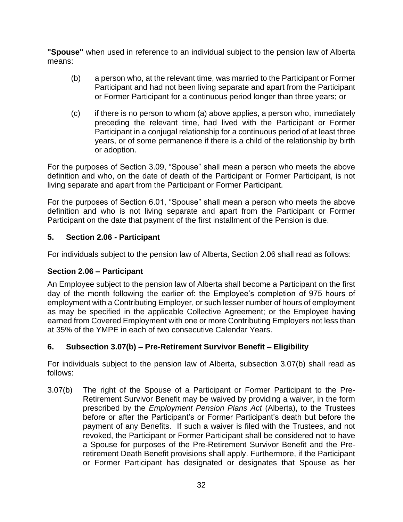**"Spouse"** when used in reference to an individual subject to the pension law of Alberta means:

- (b) a person who, at the relevant time, was married to the Participant or Former Participant and had not been living separate and apart from the Participant or Former Participant for a continuous period longer than three years; or
- $(c)$  if there is no person to whom (a) above applies, a person who, immediately preceding the relevant time, had lived with the Participant or Former Participant in a conjugal relationship for a continuous period of at least three years, or of some permanence if there is a child of the relationship by birth or adoption.

For the purposes of Section 3.09, "Spouse" shall mean a person who meets the above definition and who, on the date of death of the Participant or Former Participant, is not living separate and apart from the Participant or Former Participant.

For the purposes of Section 6.01, "Spouse" shall mean a person who meets the above definition and who is not living separate and apart from the Participant or Former Participant on the date that payment of the first installment of the Pension is due.

# **5. Section 2.06 - Participant**

For individuals subject to the pension law of Alberta, Section 2.06 shall read as follows:

# **Section 2.06 – Participant**

An Employee subject to the pension law of Alberta shall become a Participant on the first day of the month following the earlier of: the Employee's completion of 975 hours of employment with a Contributing Employer, or such lesser number of hours of employment as may be specified in the applicable Collective Agreement; or the Employee having earned from Covered Employment with one or more Contributing Employers not less than at 35% of the YMPE in each of two consecutive Calendar Years.

# **6. Subsection 3.07(b) – Pre-Retirement Survivor Benefit – Eligibility**

For individuals subject to the pension law of Alberta, subsection 3.07(b) shall read as follows:

3.07(b) The right of the Spouse of a Participant or Former Participant to the Pre-Retirement Survivor Benefit may be waived by providing a waiver, in the form prescribed by the *Employment Pension Plans Act* (Alberta), to the Trustees before or after the Participant's or Former Participant's death but before the payment of any Benefits. If such a waiver is filed with the Trustees, and not revoked, the Participant or Former Participant shall be considered not to have a Spouse for purposes of the Pre-Retirement Survivor Benefit and the Preretirement Death Benefit provisions shall apply. Furthermore, if the Participant or Former Participant has designated or designates that Spouse as her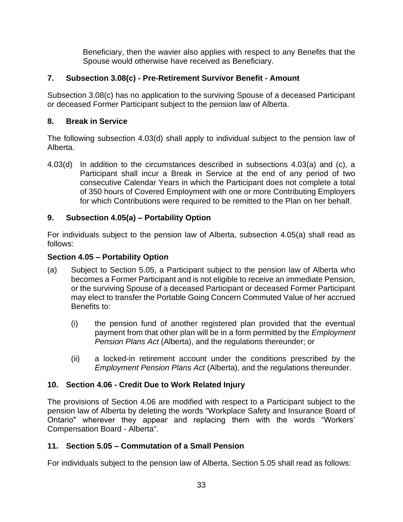Beneficiary, then the wavier also applies with respect to any Benefits that the Spouse would otherwise have received as Beneficiary.

# **7. Subsection 3.08(c) - Pre-Retirement Survivor Benefit - Amount**

Subsection 3.08(c) has no application to the surviving Spouse of a deceased Participant or deceased Former Participant subject to the pension law of Alberta.

# **8. Break in Service**

The following subsection 4.03(d) shall apply to individual subject to the pension law of Alberta.

4.03(d) In addition to the circumstances described in subsections 4.03(a) and (c), a Participant shall incur a Break in Service at the end of any period of two consecutive Calendar Years in which the Participant does not complete a total of 350 hours of Covered Employment with one or more Contributing Employers for which Contributions were required to be remitted to the Plan on her behalf.

# **9. Subsection 4.05(a) – Portability Option**

For individuals subject to the pension law of Alberta, subsection 4.05(a) shall read as follows:

# **Section 4.05 – Portability Option**

- (a) Subject to Section 5.05, a Participant subject to the pension law of Alberta who becomes a Former Participant and is not eligible to receive an immediate Pension, or the surviving Spouse of a deceased Participant or deceased Former Participant may elect to transfer the Portable Going Concern Commuted Value of her accrued Benefits to:
	- (i) the pension fund of another registered plan provided that the eventual payment from that other plan will be in a form permitted by the *Employment Pension Plans Act* (Alberta), and the regulations thereunder; or
	- (ii) a locked-in retirement account under the conditions prescribed by the *Employment Pension Plans Act* (Alberta), and the regulations thereunder.

# **10. Section 4.06 - Credit Due to Work Related Injury**

The provisions of Section 4.06 are modified with respect to a Participant subject to the pension law of Alberta by deleting the words "Workplace Safety and Insurance Board of Ontario" wherever they appear and replacing them with the words "Workers' Compensation Board - Alberta".

# **11. Section 5.05 – Commutation of a Small Pension**

For individuals subject to the pension law of Alberta, Section 5.05 shall read as follows: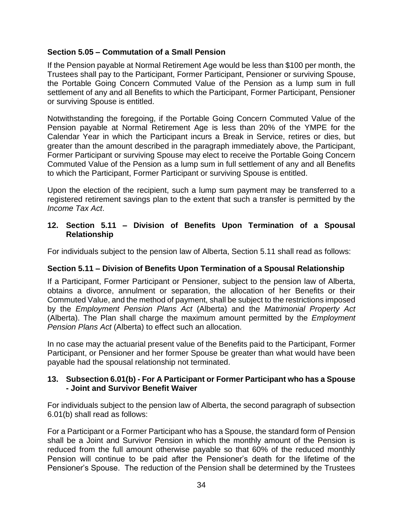# **Section 5.05 – Commutation of a Small Pension**

If the Pension payable at Normal Retirement Age would be less than \$100 per month, the Trustees shall pay to the Participant, Former Participant, Pensioner or surviving Spouse, the Portable Going Concern Commuted Value of the Pension as a lump sum in full settlement of any and all Benefits to which the Participant, Former Participant, Pensioner or surviving Spouse is entitled.

Notwithstanding the foregoing, if the Portable Going Concern Commuted Value of the Pension payable at Normal Retirement Age is less than 20% of the YMPE for the Calendar Year in which the Participant incurs a Break in Service, retires or dies, but greater than the amount described in the paragraph immediately above, the Participant, Former Participant or surviving Spouse may elect to receive the Portable Going Concern Commuted Value of the Pension as a lump sum in full settlement of any and all Benefits to which the Participant, Former Participant or surviving Spouse is entitled.

Upon the election of the recipient, such a lump sum payment may be transferred to a registered retirement savings plan to the extent that such a transfer is permitted by the *Income Tax Act*.

## **12. Section 5.11 – Division of Benefits Upon Termination of a Spousal Relationship**

For individuals subject to the pension law of Alberta, Section 5.11 shall read as follows:

# **Section 5.11 – Division of Benefits Upon Termination of a Spousal Relationship**

If a Participant, Former Participant or Pensioner, subject to the pension law of Alberta, obtains a divorce, annulment or separation, the allocation of her Benefits or their Commuted Value, and the method of payment, shall be subject to the restrictions imposed by the *Employment Pension Plans Act* (Alberta) and the *Matrimonial Property Act*  (Alberta). The Plan shall charge the maximum amount permitted by the *Employment Pension Plans Act* (Alberta) to effect such an allocation.

In no case may the actuarial present value of the Benefits paid to the Participant, Former Participant, or Pensioner and her former Spouse be greater than what would have been payable had the spousal relationship not terminated.

#### **13. Subsection 6.01(b) - For A Participant or Former Participant who has a Spouse - Joint and Survivor Benefit Waiver**

For individuals subject to the pension law of Alberta, the second paragraph of subsection 6.01(b) shall read as follows:

For a Participant or a Former Participant who has a Spouse, the standard form of Pension shall be a Joint and Survivor Pension in which the monthly amount of the Pension is reduced from the full amount otherwise payable so that 60% of the reduced monthly Pension will continue to be paid after the Pensioner's death for the lifetime of the Pensioner's Spouse. The reduction of the Pension shall be determined by the Trustees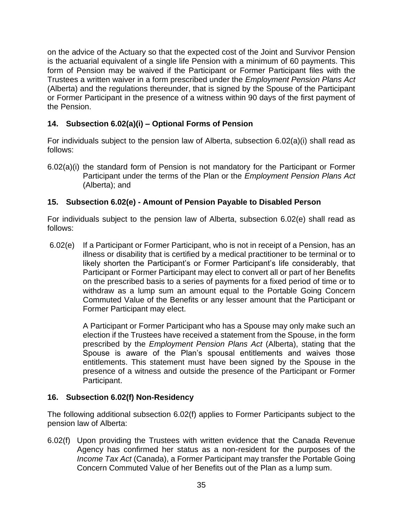on the advice of the Actuary so that the expected cost of the Joint and Survivor Pension is the actuarial equivalent of a single life Pension with a minimum of 60 payments. This form of Pension may be waived if the Participant or Former Participant files with the Trustees a written waiver in a form prescribed under the *Employment Pension Plans Act* (Alberta) and the regulations thereunder, that is signed by the Spouse of the Participant or Former Participant in the presence of a witness within 90 days of the first payment of the Pension.

# **14. Subsection 6.02(a)(i) – Optional Forms of Pension**

For individuals subject to the pension law of Alberta, subsection 6.02(a)(i) shall read as follows:

6.02(a)(i) the standard form of Pension is not mandatory for the Participant or Former Participant under the terms of the Plan or the *Employment Pension Plans Act* (Alberta); and

# **15. Subsection 6.02(e) - Amount of Pension Payable to Disabled Person**

For individuals subject to the pension law of Alberta, subsection 6.02(e) shall read as follows:

6.02(e) If a Participant or Former Participant, who is not in receipt of a Pension, has an illness or disability that is certified by a medical practitioner to be terminal or to likely shorten the Participant's or Former Participant's life considerably, that Participant or Former Participant may elect to convert all or part of her Benefits on the prescribed basis to a series of payments for a fixed period of time or to withdraw as a lump sum an amount equal to the Portable Going Concern Commuted Value of the Benefits or any lesser amount that the Participant or Former Participant may elect.

> A Participant or Former Participant who has a Spouse may only make such an election if the Trustees have received a statement from the Spouse, in the form prescribed by the *Employment Pension Plans Act* (Alberta), stating that the Spouse is aware of the Plan's spousal entitlements and waives those entitlements. This statement must have been signed by the Spouse in the presence of a witness and outside the presence of the Participant or Former Participant.

# **16. Subsection 6.02(f) Non-Residency**

The following additional subsection 6.02(f) applies to Former Participants subject to the pension law of Alberta:

6.02(f) Upon providing the Trustees with written evidence that the Canada Revenue Agency has confirmed her status as a non-resident for the purposes of the *Income Tax Act* (Canada), a Former Participant may transfer the Portable Going Concern Commuted Value of her Benefits out of the Plan as a lump sum.